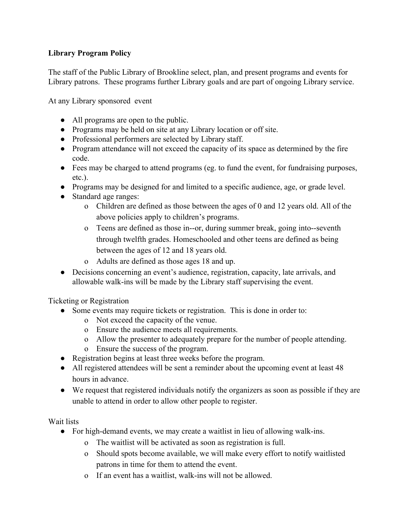## **Library Program Policy**

The staff of the Public Library of Brookline select, plan, and present programs and events for Library patrons. These programs further Library goals and are part of ongoing Library service.

At any Library sponsored event

- All programs are open to the public.
- Programs may be held on site at any Library location or off site.
- Professional performers are selected by Library staff.
- Program attendance will not exceed the capacity of its space as determined by the fire code.
- Fees may be charged to attend programs (eg. to fund the event, for fundraising purposes, etc.).
- Programs may be designed for and limited to a specific audience, age, or grade level.
- Standard age ranges:
	- o Children are defined as those between the ages of 0 and 12 years old. All of the above policies apply to children's programs.
	- o Teens are defined as those in--or, during summer break, going into--seventh through twelfth grades. Homeschooled and other teens are defined as being between the ages of 12 and 18 years old.
	- o Adults are defined as those ages 18 and up.
- Decisions concerning an event's audience, registration, capacity, late arrivals, and allowable walk-ins will be made by the Library staff supervising the event.

Ticketing or Registration

- Some events may require tickets or registration. This is done in order to:
	- o Not exceed the capacity of the venue.
	- o Ensure the audience meets all requirements.
	- o Allow the presenter to adequately prepare for the number of people attending.
	- o Ensure the success of the program.
- Registration begins at least three weeks before the program.
- All registered attendees will be sent a reminder about the upcoming event at least 48 hours in advance.
- We request that registered individuals notify the organizers as soon as possible if they are unable to attend in order to allow other people to register.

Wait lists

- For high-demand events, we may create a waitlist in lieu of allowing walk-ins.
	- o The waitlist will be activated as soon as registration is full.
	- o Should spots become available, we will make every effort to notify waitlisted patrons in time for them to attend the event.
	- o If an event has a waitlist, walk-ins will not be allowed.